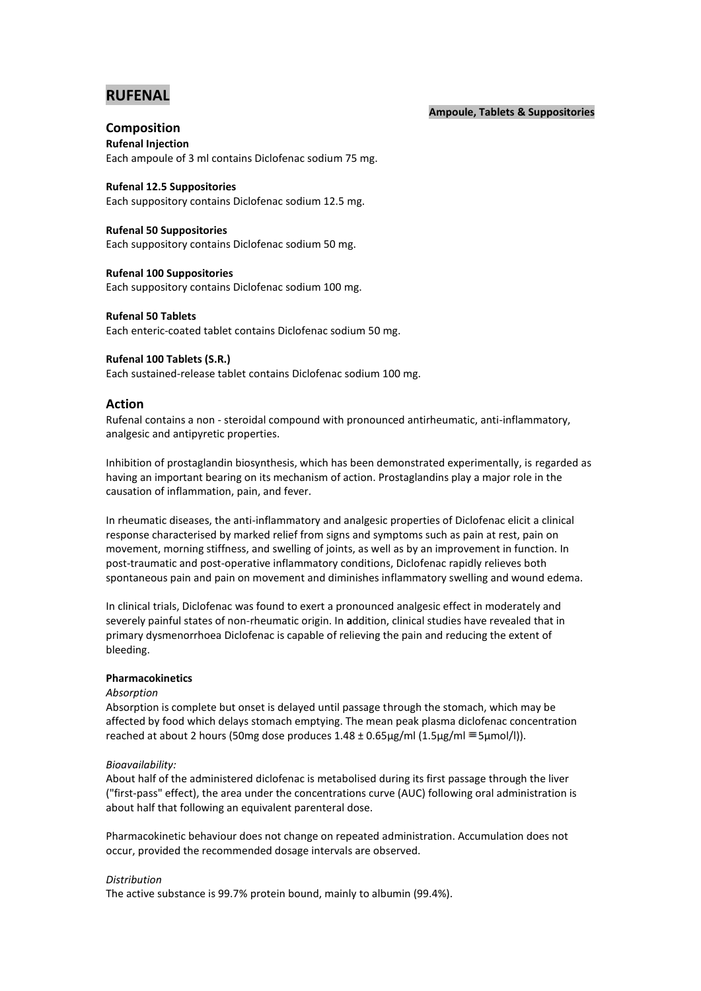# **RUFENAL**

## **Ampoule, Tablets & Suppositories**

# **Composition**

**Rufenal Injection** Each ampoule of 3 ml contains Diclofenac sodium 75 mg.

**Rufenal 12.5 Suppositories**

Each suppository contains Diclofenac sodium 12.5 mg.

## **Rufenal 50 Suppositories**

Each suppository contains Diclofenac sodium 50 mg.

**Rufenal 100 Suppositories** Each suppository contains Diclofenac sodium 100 mg.

## **Rufenal 50 Tablets**

Each enteric-coated tablet contains Diclofenac sodium 50 mg.

# **Rufenal 100 Tablets (S.R.)**

Each sustained-release tablet contains Diclofenac sodium 100 mg.

# **Action**

Rufenal contains a non - steroidal compound with pronounced antirheumatic, anti-inflammatory, analgesic and antipyretic properties.

Inhibition of prostaglandin biosynthesis, which has been demonstrated experimentally, is regarded as having an important bearing on its mechanism of action. Prostaglandins play a major role in the causation of inflammation, pain, and fever.

In rheumatic diseases, the anti-inflammatory and analgesic properties of Diclofenac elicit a clinical response characterised by marked relief from signs and symptoms such as pain at rest, pain on movement, morning stiffness, and swelling of joints, as well as by an improvement in function. In post-traumatic and post-operative inflammatory conditions, Diclofenac rapidly relieves both spontaneous pain and pain on movement and diminishes inflammatory swelling and wound edema.

In clinical trials, Diclofenac was found to exert a pronounced analgesic effect in moderately and severely painful states of non-rheumatic origin. In **a**ddition, clinical studies have revealed that in primary dysmenorrhoea Diclofenac is capable of relieving the pain and reducing the extent of bleeding.

# **Pharmacokinetics**

#### *Absorption*

Absorption is complete but onset is delayed until passage through the stomach, which may be affected by food which delays stomach emptying. The mean peak plasma diclofenac concentration reached at about 2 hours (50mg dose produces  $1.48 \pm 0.65 \mu g/ml (1.5 \mu g/ml \equiv 5 \mu mol/l)$ ).

#### *Bioavailability:*

About half of the administered diclofenac is metabolised during its first passage through the liver ("first-pass" effect), the area under the concentrations curve (AUC) following oral administration is about half that following an equivalent parenteral dose.

Pharmacokinetic behaviour does not change on repeated administration. Accumulation does not occur, provided the recommended dosage intervals are observed.

# *Distribution*

The active substance is 99.7% protein bound, mainly to albumin (99.4%).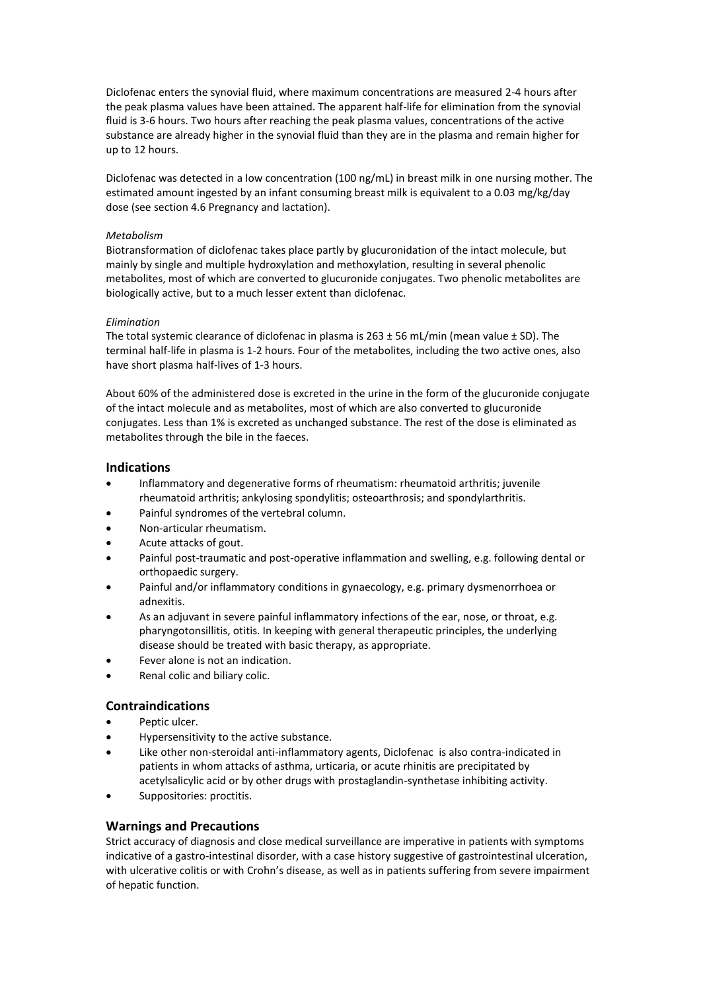Diclofenac enters the synovial fluid, where maximum concentrations are measured 2-4 hours after the peak plasma values have been attained. The apparent half-life for elimination from the synovial fluid is 3-6 hours. Two hours after reaching the peak plasma values, concentrations of the active substance are already higher in the synovial fluid than they are in the plasma and remain higher for up to 12 hours.

Diclofenac was detected in a low concentration (100 ng/mL) in breast milk in one nursing mother. The estimated amount ingested by an infant consuming breast milk is equivalent to a 0.03 mg/kg/day dose (see section 4.6 Pregnancy and lactation).

## *Metabolism*

Biotransformation of diclofenac takes place partly by glucuronidation of the intact molecule, but mainly by single and multiple hydroxylation and methoxylation, resulting in several phenolic metabolites, most of which are converted to glucuronide conjugates. Two phenolic metabolites are biologically active, but to a much lesser extent than diclofenac.

## *Elimination*

The total systemic clearance of diclofenac in plasma is  $263 \pm 56$  mL/min (mean value  $\pm$  SD). The terminal half-life in plasma is 1-2 hours. Four of the metabolites, including the two active ones, also have short plasma half-lives of 1-3 hours.

About 60% of the administered dose is excreted in the urine in the form of the glucuronide conjugate of the intact molecule and as metabolites, most of which are also converted to glucuronide conjugates. Less than 1% is excreted as unchanged substance. The rest of the dose is eliminated as metabolites through the bile in the faeces.

# **Indications**

- Inflammatory and degenerative forms of rheumatism: rheumatoid arthritis; juvenile rheumatoid arthritis; ankylosing spondylitis; osteoarthrosis; and spondylarthritis.
- Painful syndromes of the vertebral column.
- Non-articular rheumatism.
- Acute attacks of gout.
- Painful post-traumatic and post-operative inflammation and swelling, e.g. following dental or orthopaedic surgery.
- Painful and/or inflammatory conditions in gynaecology, e.g. primary dysmenorrhoea or adnexitis.
- As an adjuvant in severe painful inflammatory infections of the ear, nose, or throat, e.g. pharyngotonsillitis, otitis. In keeping with general therapeutic principles, the underlying disease should be treated with basic therapy, as appropriate.
- Fever alone is not an indication.
- Renal colic and biliary colic.

# **Contraindications**

- Peptic ulcer.
- Hypersensitivity to the active substance.
- Like other non-steroidal anti-inflammatory agents, Diclofenac is also contra-indicated in patients in whom attacks of asthma, urticaria, or acute rhinitis are precipitated by acetylsalicylic acid or by other drugs with prostaglandin-synthetase inhibiting activity.
- Suppositories: proctitis.

# **Warnings and Precautions**

Strict accuracy of diagnosis and close medical surveillance are imperative in patients with symptoms indicative of a gastro-intestinal disorder, with a case history suggestive of gastrointestinal ulceration, with ulcerative colitis or with Crohn's disease, as well as in patients suffering from severe impairment of hepatic function.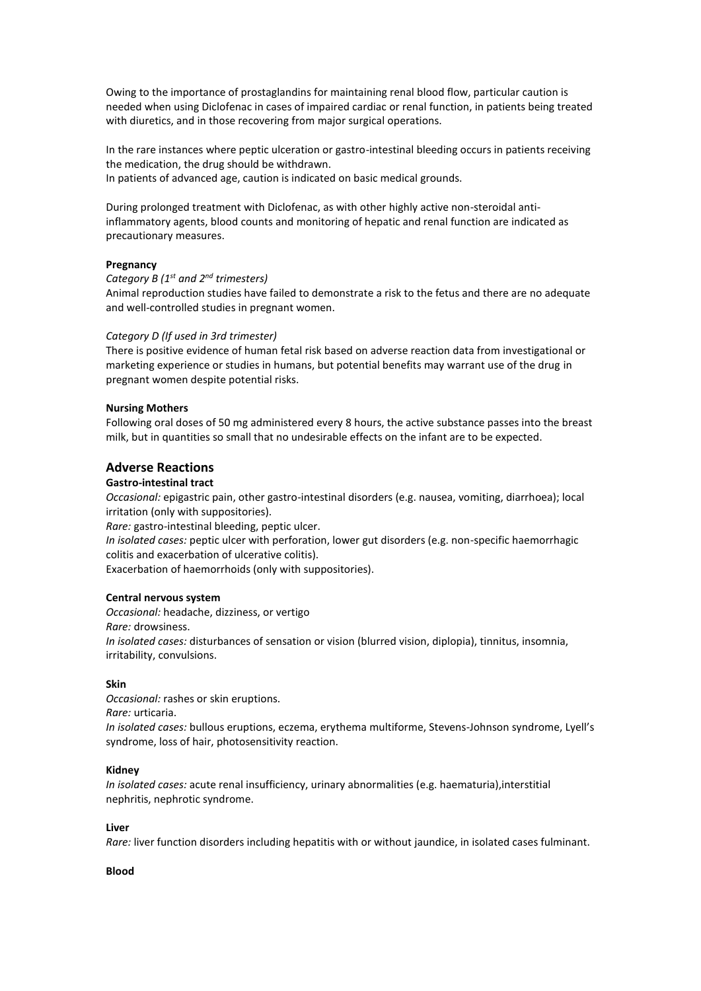Owing to the importance of prostaglandins for maintaining renal blood flow, particular caution is needed when using Diclofenac in cases of impaired cardiac or renal function, in patients being treated with diuretics, and in those recovering from major surgical operations.

In the rare instances where peptic ulceration or gastro-intestinal bleeding occurs in patients receiving the medication, the drug should be withdrawn. In patients of advanced age, caution is indicated on basic medical grounds.

During prolonged treatment with Diclofenac, as with other highly active non-steroidal antiinflammatory agents, blood counts and monitoring of hepatic and renal function are indicated as precautionary measures.

## **Pregnancy**

## *Category B (1 st and 2nd trimesters)*

Animal reproduction studies have failed to demonstrate a risk to the fetus and there are no adequate and well-controlled studies in pregnant women.

#### *Category D (If used in 3rd trimester)*

There is positive evidence of human fetal risk based on adverse reaction data from investigational or marketing experience or studies in humans, but potential benefits may warrant use of the drug in pregnant women despite potential risks.

#### **Nursing Mothers**

Following oral doses of 50 mg administered every 8 hours, the active substance passes into the breast milk, but in quantities so small that no undesirable effects on the infant are to be expected.

## **Adverse Reactions**

## **Gastro-intestinal tract**

*Occasional:* epigastric pain, other gastro-intestinal disorders (e.g. nausea, vomiting, diarrhoea); local irritation (only with suppositories).

*Rare:* gastro-intestinal bleeding, peptic ulcer.

*In isolated cases:* peptic ulcer with perforation, lower gut disorders (e.g. non-specific haemorrhagic colitis and exacerbation of ulcerative colitis).

Exacerbation of haemorrhoids (only with suppositories).

### **Central nervous system**

*Occasional:* headache, dizziness, or vertigo *Rare:* drowsiness. *In isolated cases:* disturbances of sensation or vision (blurred vision, diplopia), tinnitus, insomnia, irritability, convulsions.

#### **Skin**

*Occasional:* rashes or skin eruptions. *Rare:* urticaria. *In isolated cases:* bullous eruptions, eczema, erythema multiforme, Stevens-Johnson syndrome, Lyell's syndrome, loss of hair, photosensitivity reaction.

#### **Kidney**

*In isolated cases:* acute renal insufficiency, urinary abnormalities (e.g. haematuria),interstitial nephritis, nephrotic syndrome.

#### **Liver**

*Rare:* liver function disorders including hepatitis with or without jaundice, in isolated cases fulminant.

#### **Blood**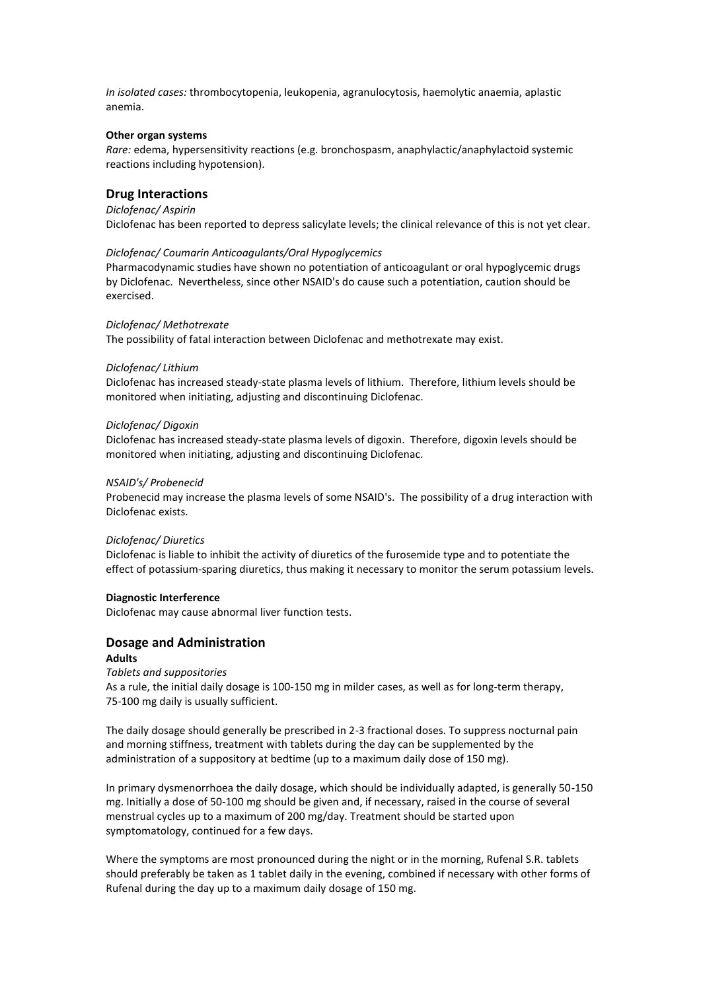*In isolated cases:* thrombocytopenia, leukopenia, agranulocytosis, haemolytic anaemia, aplastic anemia.

#### **Other organ systems**

*Rare:* edema, hypersensitivity reactions (e.g. bronchospasm, anaphylactic/anaphylactoid systemic reactions including hypotension).

## **Drug Interactions**

#### *Diclofenac/ Aspirin*

Diclofenac has been reported to depress salicylate levels; the clinical relevance of this is not yet clear.

#### *Diclofenac/ Coumarin Anticoagulants/Oral Hypoglycemics*

Pharmacodynamic studies have shown no potentiation of anticoagulant or oral hypoglycemic drugs by Diclofenac. Nevertheless, since other NSAID's do cause such a potentiation, caution should be exercised.

#### *Diclofenac/ Methotrexate*

The possibility of fatal interaction between Diclofenac and methotrexate may exist.

#### *Diclofenac/ Lithium*

Diclofenac has increased steady-state plasma levels of lithium. Therefore, lithium levels should be monitored when initiating, adjusting and discontinuing Diclofenac.

#### *Diclofenac/ Digoxin*

Diclofenac has increased steady-state plasma levels of digoxin. Therefore, digoxin levels should be monitored when initiating, adjusting and discontinuing Diclofenac.

#### *NSAID's/ Probenecid*

Probenecid may increase the plasma levels of some NSAID's. The possibility of a drug interaction with Diclofenac exists.

#### *Diclofenac/ Diuretics*

Diclofenac is liable to inhibit the activity of diuretics of the furosemide type and to potentiate the effect of potassium-sparing diuretics, thus making it necessary to monitor the serum potassium levels.

#### **Diagnostic Interference**

Diclofenac may cause abnormal liver function tests.

## **Dosage and Administration**

### **Adults**

*Tablets and suppositories* As a rule, the initial daily dosage is 100-150 mg in milder cases, as well as for long-term therapy, 75-100 mg daily is usually sufficient.

The daily dosage should generally be prescribed in 2-3 fractional doses. To suppress nocturnal pain and morning stiffness, treatment with tablets during the day can be supplemented by the administration of a suppository at bedtime (up to a maximum daily dose of 150 mg).

In primary dysmenorrhoea the daily dosage, which should be individually adapted, is generally 50-150 mg. Initially a dose of 50-100 mg should be given and, if necessary, raised in the course of several menstrual cycles up to a maximum of 200 mg/day. Treatment should be started upon symptomatology, continued for a few days.

Where the symptoms are most pronounced during the night or in the morning, Rufenal S.R. tablets should preferably be taken as 1 tablet daily in the evening, combined if necessary with other forms of Rufenal during the day up to a maximum daily dosage of 150 mg.